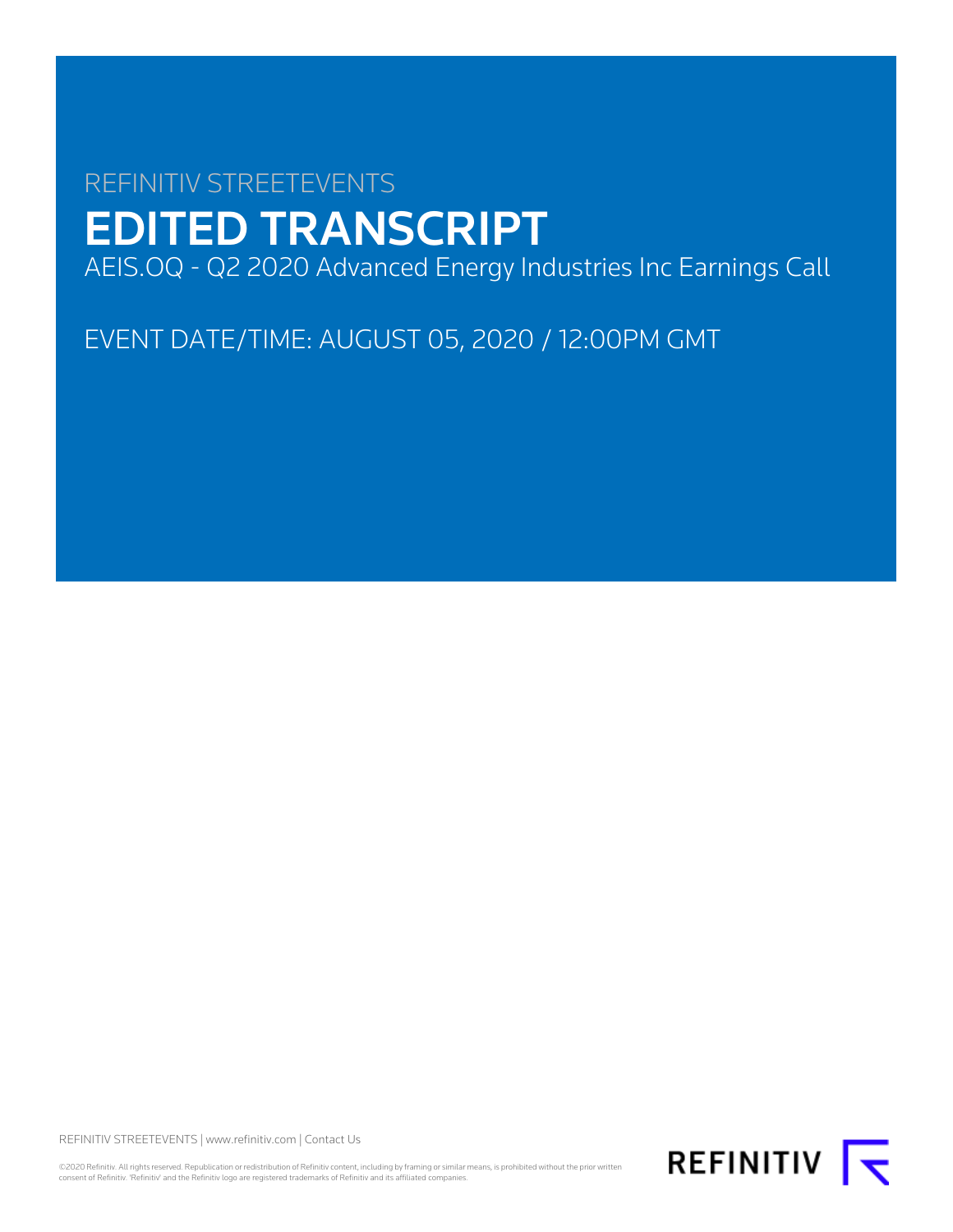# REFINITIV STREETEVENTS EDITED TRANSCRIPT AEIS.OQ - Q2 2020 Advanced Energy Industries Inc Earnings Call

EVENT DATE/TIME: AUGUST 05, 2020 / 12:00PM GMT

REFINITIV STREETEVENTS | [www.refinitiv.com](https://www.refinitiv.com/) | [Contact Us](https://www.refinitiv.com/en/contact-us)

©2020 Refinitiv. All rights reserved. Republication or redistribution of Refinitiv content, including by framing or similar means, is prohibited without the prior written consent of Refinitiv. 'Refinitiv' and the Refinitiv logo are registered trademarks of Refinitiv and its affiliated companies.

REFINITIV **I**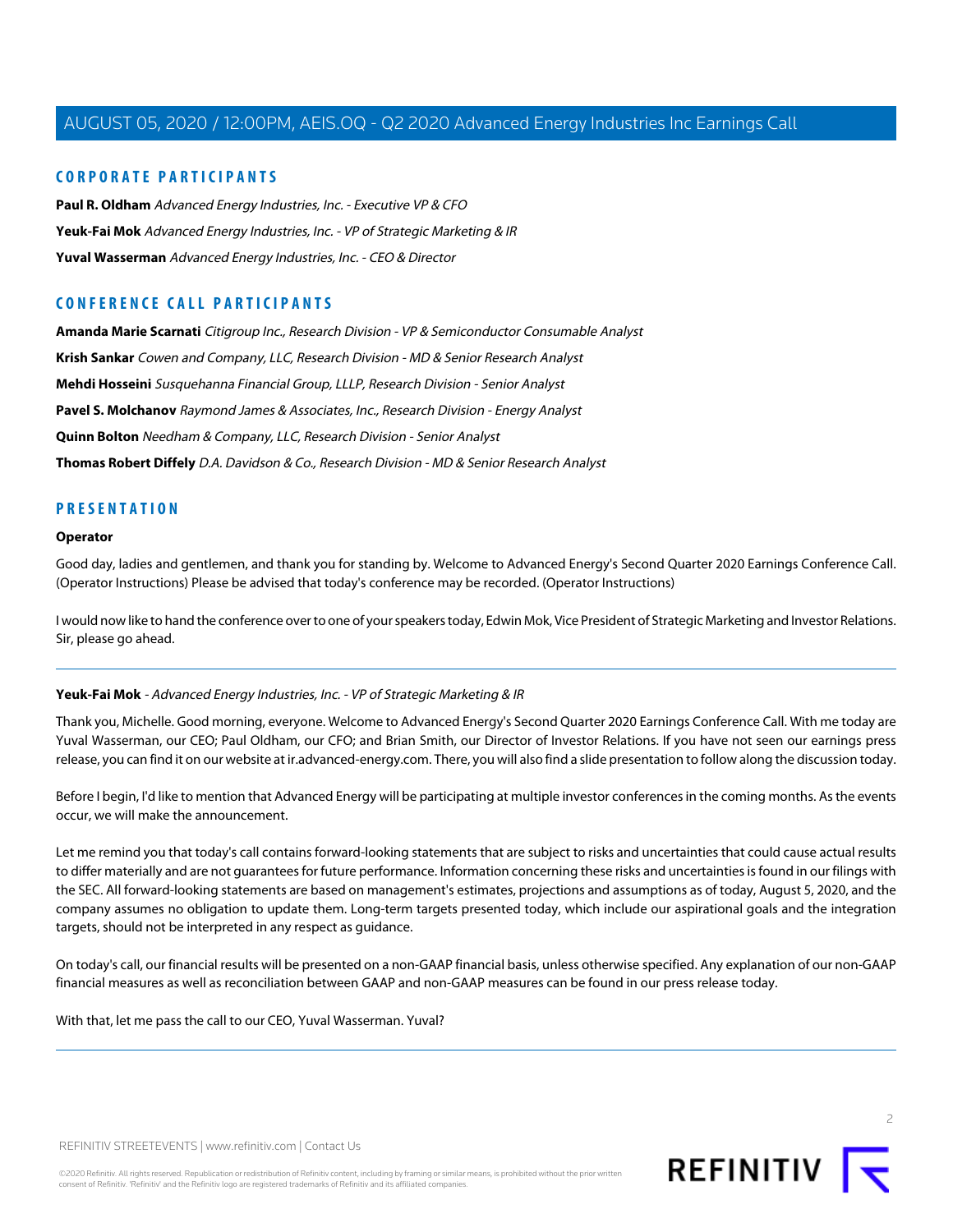# **CORPORATE PARTICIPANTS**

**[Paul R. Oldham](#page-4-0)** Advanced Energy Industries, Inc. - Executive VP & CFO **[Yeuk-Fai Mok](#page-1-0)** Advanced Energy Industries, Inc. - VP of Strategic Marketing & IR **[Yuval Wasserman](#page-2-0)** Advanced Energy Industries, Inc. - CEO & Director

# **CONFERENCE CALL PARTICIPANTS**

**[Amanda Marie Scarnati](#page-8-0)** Citigroup Inc., Research Division - VP & Semiconductor Consumable Analyst **[Krish Sankar](#page-11-0)** Cowen and Company, LLC, Research Division - MD & Senior Research Analyst **[Mehdi Hosseini](#page-9-0)** Susquehanna Financial Group, LLLP, Research Division - Senior Analyst **[Pavel S. Molchanov](#page-12-0)** Raymond James & Associates, Inc., Research Division - Energy Analyst **[Quinn Bolton](#page-7-0)** Needham & Company, LLC, Research Division - Senior Analyst **[Thomas Robert Diffely](#page-6-0)** D.A. Davidson & Co., Research Division - MD & Senior Research Analyst

# **PRESENTATION**

## **Operator**

Good day, ladies and gentlemen, and thank you for standing by. Welcome to Advanced Energy's Second Quarter 2020 Earnings Conference Call. (Operator Instructions) Please be advised that today's conference may be recorded. (Operator Instructions)

<span id="page-1-0"></span>I would now like to hand the conference over to one of your speakers today, Edwin Mok, Vice President of Strategic Marketing and Investor Relations. Sir, please go ahead.

#### **Yeuk-Fai Mok** - Advanced Energy Industries, Inc. - VP of Strategic Marketing & IR

Thank you, Michelle. Good morning, everyone. Welcome to Advanced Energy's Second Quarter 2020 Earnings Conference Call. With me today are Yuval Wasserman, our CEO; Paul Oldham, our CFO; and Brian Smith, our Director of Investor Relations. If you have not seen our earnings press release, you can find it on our website at ir.advanced-energy.com. There, you will also find a slide presentation to follow along the discussion today.

Before I begin, I'd like to mention that Advanced Energy will be participating at multiple investor conferences in the coming months. As the events occur, we will make the announcement.

Let me remind you that today's call contains forward-looking statements that are subject to risks and uncertainties that could cause actual results to differ materially and are not guarantees for future performance. Information concerning these risks and uncertainties is found in our filings with the SEC. All forward-looking statements are based on management's estimates, projections and assumptions as of today, August 5, 2020, and the company assumes no obligation to update them. Long-term targets presented today, which include our aspirational goals and the integration targets, should not be interpreted in any respect as guidance.

On today's call, our financial results will be presented on a non-GAAP financial basis, unless otherwise specified. Any explanation of our non-GAAP financial measures as well as reconciliation between GAAP and non-GAAP measures can be found in our press release today.

With that, let me pass the call to our CEO, Yuval Wasserman. Yuval?

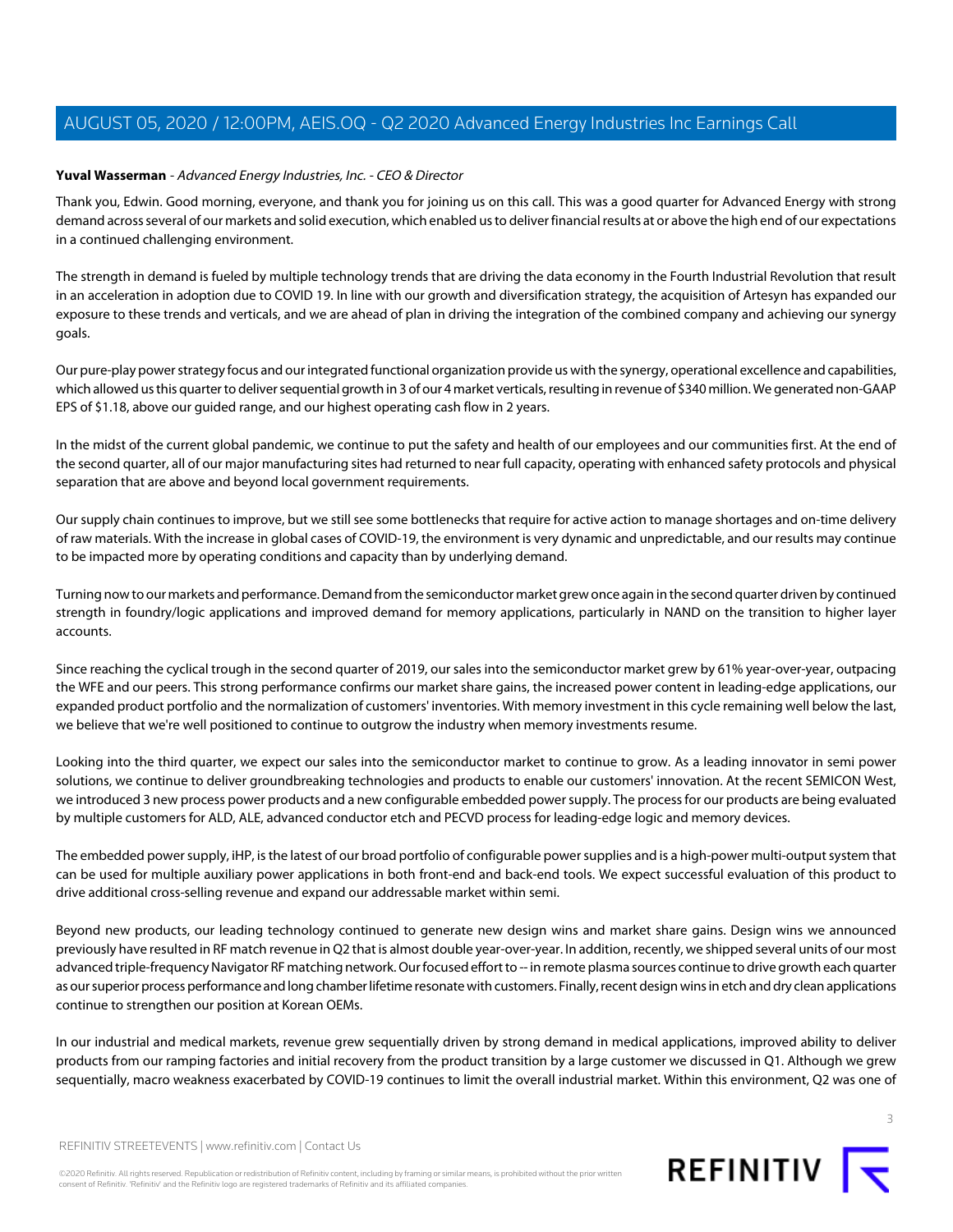## <span id="page-2-0"></span>**Yuval Wasserman** - Advanced Energy Industries, Inc. - CEO & Director

Thank you, Edwin. Good morning, everyone, and thank you for joining us on this call. This was a good quarter for Advanced Energy with strong demand across several of our markets and solid execution, which enabled us to deliver financial results at or above the high end of our expectations in a continued challenging environment.

The strength in demand is fueled by multiple technology trends that are driving the data economy in the Fourth Industrial Revolution that result in an acceleration in adoption due to COVID 19. In line with our growth and diversification strategy, the acquisition of Artesyn has expanded our exposure to these trends and verticals, and we are ahead of plan in driving the integration of the combined company and achieving our synergy goals.

Our pure-play power strategy focus and our integrated functional organization provide us with the synergy, operational excellence and capabilities, which allowed us this quarter to deliver sequential growth in 3 of our 4 market verticals, resulting in revenue of \$340 million. We generated non-GAAP EPS of \$1.18, above our guided range, and our highest operating cash flow in 2 years.

In the midst of the current global pandemic, we continue to put the safety and health of our employees and our communities first. At the end of the second quarter, all of our major manufacturing sites had returned to near full capacity, operating with enhanced safety protocols and physical separation that are above and beyond local government requirements.

Our supply chain continues to improve, but we still see some bottlenecks that require for active action to manage shortages and on-time delivery of raw materials. With the increase in global cases of COVID-19, the environment is very dynamic and unpredictable, and our results may continue to be impacted more by operating conditions and capacity than by underlying demand.

Turning now to our markets and performance. Demand from the semiconductor market grew once again in the second quarter driven by continued strength in foundry/logic applications and improved demand for memory applications, particularly in NAND on the transition to higher layer accounts.

Since reaching the cyclical trough in the second quarter of 2019, our sales into the semiconductor market grew by 61% year-over-year, outpacing the WFE and our peers. This strong performance confirms our market share gains, the increased power content in leading-edge applications, our expanded product portfolio and the normalization of customers' inventories. With memory investment in this cycle remaining well below the last, we believe that we're well positioned to continue to outgrow the industry when memory investments resume.

Looking into the third quarter, we expect our sales into the semiconductor market to continue to grow. As a leading innovator in semi power solutions, we continue to deliver groundbreaking technologies and products to enable our customers' innovation. At the recent SEMICON West, we introduced 3 new process power products and a new configurable embedded power supply. The process for our products are being evaluated by multiple customers for ALD, ALE, advanced conductor etch and PECVD process for leading-edge logic and memory devices.

The embedded power supply, iHP, is the latest of our broad portfolio of configurable power supplies and is a high-power multi-output system that can be used for multiple auxiliary power applications in both front-end and back-end tools. We expect successful evaluation of this product to drive additional cross-selling revenue and expand our addressable market within semi.

Beyond new products, our leading technology continued to generate new design wins and market share gains. Design wins we announced previously have resulted in RF match revenue in Q2 that is almost double year-over-year. In addition, recently, we shipped several units of our most advanced triple-frequency Navigator RF matching network. Our focused effort to -- in remote plasma sources continue to drive growth each quarter as our superior process performance and long chamber lifetime resonate with customers. Finally, recent design wins in etch and dry clean applications continue to strengthen our position at Korean OEMs.

In our industrial and medical markets, revenue grew sequentially driven by strong demand in medical applications, improved ability to deliver products from our ramping factories and initial recovery from the product transition by a large customer we discussed in Q1. Although we grew sequentially, macro weakness exacerbated by COVID-19 continues to limit the overall industrial market. Within this environment, Q2 was one of



©2020 Refinitiv. All rights reserved. Republication or redistribution of Refinitiv content, including by framing or similar means, is prohibited without the prior written consent of Refinitiv. 'Refinitiv' and the Refinitiv logo are registered trademarks of Refinitiv and its affiliated companies.

3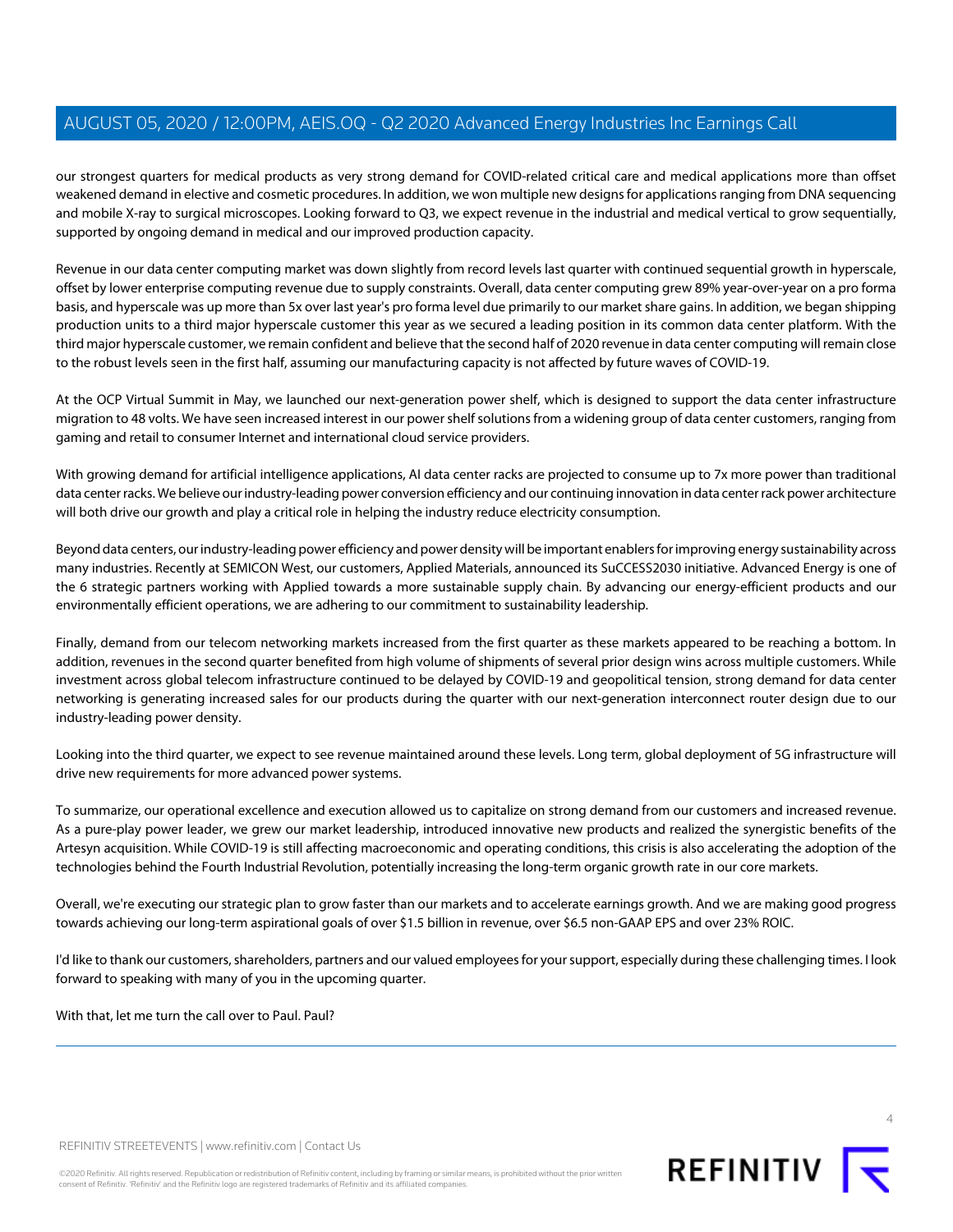our strongest quarters for medical products as very strong demand for COVID-related critical care and medical applications more than offset weakened demand in elective and cosmetic procedures. In addition, we won multiple new designs for applications ranging from DNA sequencing and mobile X-ray to surgical microscopes. Looking forward to Q3, we expect revenue in the industrial and medical vertical to grow sequentially, supported by ongoing demand in medical and our improved production capacity.

Revenue in our data center computing market was down slightly from record levels last quarter with continued sequential growth in hyperscale, offset by lower enterprise computing revenue due to supply constraints. Overall, data center computing grew 89% year-over-year on a pro forma basis, and hyperscale was up more than 5x over last year's pro forma level due primarily to our market share gains. In addition, we began shipping production units to a third major hyperscale customer this year as we secured a leading position in its common data center platform. With the third major hyperscale customer, we remain confident and believe that the second half of 2020 revenue in data center computing will remain close to the robust levels seen in the first half, assuming our manufacturing capacity is not affected by future waves of COVID-19.

At the OCP Virtual Summit in May, we launched our next-generation power shelf, which is designed to support the data center infrastructure migration to 48 volts. We have seen increased interest in our power shelf solutions from a widening group of data center customers, ranging from gaming and retail to consumer Internet and international cloud service providers.

With growing demand for artificial intelligence applications, AI data center racks are projected to consume up to 7x more power than traditional data center racks. We believe our industry-leading power conversion efficiency and our continuing innovation in data center rack power architecture will both drive our growth and play a critical role in helping the industry reduce electricity consumption.

Beyond data centers, our industry-leading power efficiency and power density will be important enablers for improving energy sustainability across many industries. Recently at SEMICON West, our customers, Applied Materials, announced its SuCCESS2030 initiative. Advanced Energy is one of the 6 strategic partners working with Applied towards a more sustainable supply chain. By advancing our energy-efficient products and our environmentally efficient operations, we are adhering to our commitment to sustainability leadership.

Finally, demand from our telecom networking markets increased from the first quarter as these markets appeared to be reaching a bottom. In addition, revenues in the second quarter benefited from high volume of shipments of several prior design wins across multiple customers. While investment across global telecom infrastructure continued to be delayed by COVID-19 and geopolitical tension, strong demand for data center networking is generating increased sales for our products during the quarter with our next-generation interconnect router design due to our industry-leading power density.

Looking into the third quarter, we expect to see revenue maintained around these levels. Long term, global deployment of 5G infrastructure will drive new requirements for more advanced power systems.

To summarize, our operational excellence and execution allowed us to capitalize on strong demand from our customers and increased revenue. As a pure-play power leader, we grew our market leadership, introduced innovative new products and realized the synergistic benefits of the Artesyn acquisition. While COVID-19 is still affecting macroeconomic and operating conditions, this crisis is also accelerating the adoption of the technologies behind the Fourth Industrial Revolution, potentially increasing the long-term organic growth rate in our core markets.

Overall, we're executing our strategic plan to grow faster than our markets and to accelerate earnings growth. And we are making good progress towards achieving our long-term aspirational goals of over \$1.5 billion in revenue, over \$6.5 non-GAAP EPS and over 23% ROIC.

I'd like to thank our customers, shareholders, partners and our valued employees for your support, especially during these challenging times. I look forward to speaking with many of you in the upcoming quarter.

With that, let me turn the call over to Paul. Paul?



REFINITIV STREETEVENTS | [www.refinitiv.com](https://www.refinitiv.com/) | [Contact Us](https://www.refinitiv.com/en/contact-us)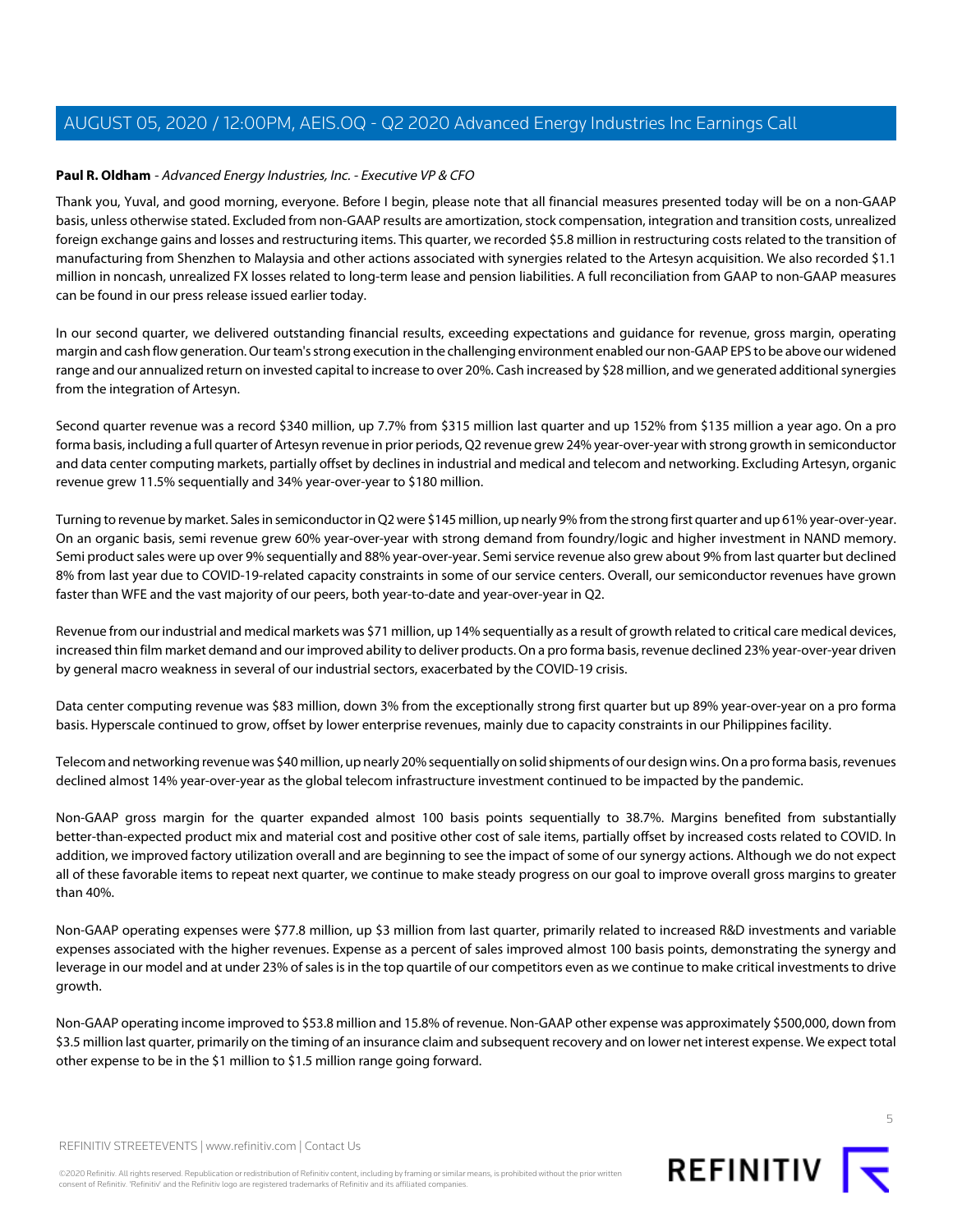# <span id="page-4-0"></span>**Paul R. Oldham** - Advanced Energy Industries, Inc. - Executive VP & CFO

Thank you, Yuval, and good morning, everyone. Before I begin, please note that all financial measures presented today will be on a non-GAAP basis, unless otherwise stated. Excluded from non-GAAP results are amortization, stock compensation, integration and transition costs, unrealized foreign exchange gains and losses and restructuring items. This quarter, we recorded \$5.8 million in restructuring costs related to the transition of manufacturing from Shenzhen to Malaysia and other actions associated with synergies related to the Artesyn acquisition. We also recorded \$1.1 million in noncash, unrealized FX losses related to long-term lease and pension liabilities. A full reconciliation from GAAP to non-GAAP measures can be found in our press release issued earlier today.

In our second quarter, we delivered outstanding financial results, exceeding expectations and guidance for revenue, gross margin, operating margin and cash flow generation. Our team's strong execution in the challenging environment enabled our non-GAAP EPS to be above our widened range and our annualized return on invested capital to increase to over 20%. Cash increased by \$28 million, and we generated additional synergies from the integration of Artesyn.

Second quarter revenue was a record \$340 million, up 7.7% from \$315 million last quarter and up 152% from \$135 million a year ago. On a pro forma basis, including a full quarter of Artesyn revenue in prior periods, Q2 revenue grew 24% year-over-year with strong growth in semiconductor and data center computing markets, partially offset by declines in industrial and medical and telecom and networking. Excluding Artesyn, organic revenue grew 11.5% sequentially and 34% year-over-year to \$180 million.

Turning to revenue by market. Sales in semiconductor in Q2 were \$145 million, up nearly 9% from the strong first quarter and up 61% year-over-year. On an organic basis, semi revenue grew 60% year-over-year with strong demand from foundry/logic and higher investment in NAND memory. Semi product sales were up over 9% sequentially and 88% year-over-year. Semi service revenue also grew about 9% from last quarter but declined 8% from last year due to COVID-19-related capacity constraints in some of our service centers. Overall, our semiconductor revenues have grown faster than WFE and the vast majority of our peers, both year-to-date and year-over-year in Q2.

Revenue from our industrial and medical markets was \$71 million, up 14% sequentially as a result of growth related to critical care medical devices, increased thin film market demand and our improved ability to deliver products. On a pro forma basis, revenue declined 23% year-over-year driven by general macro weakness in several of our industrial sectors, exacerbated by the COVID-19 crisis.

Data center computing revenue was \$83 million, down 3% from the exceptionally strong first quarter but up 89% year-over-year on a pro forma basis. Hyperscale continued to grow, offset by lower enterprise revenues, mainly due to capacity constraints in our Philippines facility.

Telecom and networking revenue was \$40 million, up nearly 20% sequentially on solid shipments of our design wins. On a pro forma basis, revenues declined almost 14% year-over-year as the global telecom infrastructure investment continued to be impacted by the pandemic.

Non-GAAP gross margin for the quarter expanded almost 100 basis points sequentially to 38.7%. Margins benefited from substantially better-than-expected product mix and material cost and positive other cost of sale items, partially offset by increased costs related to COVID. In addition, we improved factory utilization overall and are beginning to see the impact of some of our synergy actions. Although we do not expect all of these favorable items to repeat next quarter, we continue to make steady progress on our goal to improve overall gross margins to greater than 40%.

Non-GAAP operating expenses were \$77.8 million, up \$3 million from last quarter, primarily related to increased R&D investments and variable expenses associated with the higher revenues. Expense as a percent of sales improved almost 100 basis points, demonstrating the synergy and leverage in our model and at under 23% of sales is in the top quartile of our competitors even as we continue to make critical investments to drive growth.

Non-GAAP operating income improved to \$53.8 million and 15.8% of revenue. Non-GAAP other expense was approximately \$500,000, down from \$3.5 million last quarter, primarily on the timing of an insurance claim and subsequent recovery and on lower net interest expense. We expect total other expense to be in the \$1 million to \$1.5 million range going forward.

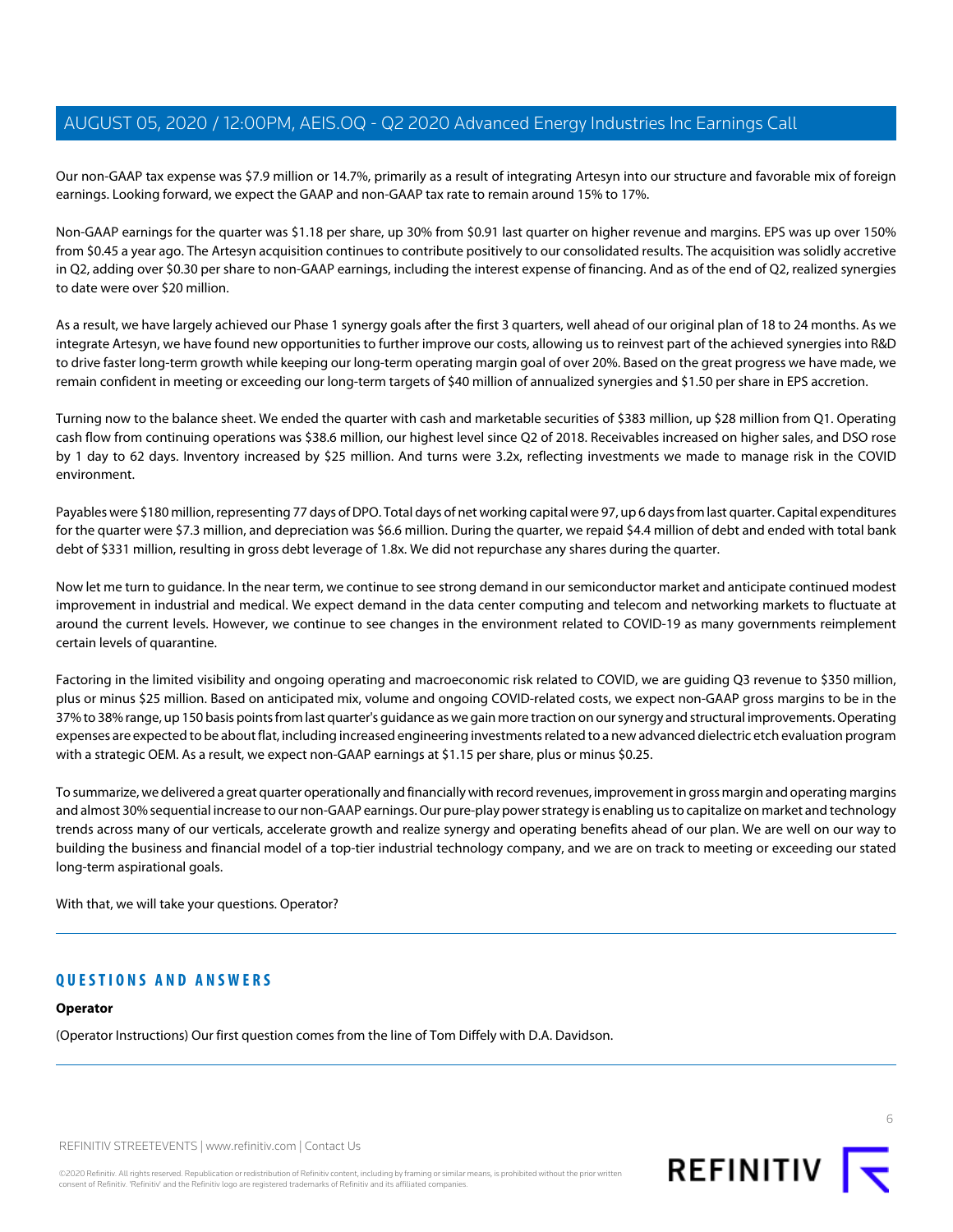Our non-GAAP tax expense was \$7.9 million or 14.7%, primarily as a result of integrating Artesyn into our structure and favorable mix of foreign earnings. Looking forward, we expect the GAAP and non-GAAP tax rate to remain around 15% to 17%.

Non-GAAP earnings for the quarter was \$1.18 per share, up 30% from \$0.91 last quarter on higher revenue and margins. EPS was up over 150% from \$0.45 a year ago. The Artesyn acquisition continues to contribute positively to our consolidated results. The acquisition was solidly accretive in Q2, adding over \$0.30 per share to non-GAAP earnings, including the interest expense of financing. And as of the end of Q2, realized synergies to date were over \$20 million.

As a result, we have largely achieved our Phase 1 synergy goals after the first 3 quarters, well ahead of our original plan of 18 to 24 months. As we integrate Artesyn, we have found new opportunities to further improve our costs, allowing us to reinvest part of the achieved synergies into R&D to drive faster long-term growth while keeping our long-term operating margin goal of over 20%. Based on the great progress we have made, we remain confident in meeting or exceeding our long-term targets of \$40 million of annualized synergies and \$1.50 per share in EPS accretion.

Turning now to the balance sheet. We ended the quarter with cash and marketable securities of \$383 million, up \$28 million from Q1. Operating cash flow from continuing operations was \$38.6 million, our highest level since Q2 of 2018. Receivables increased on higher sales, and DSO rose by 1 day to 62 days. Inventory increased by \$25 million. And turns were 3.2x, reflecting investments we made to manage risk in the COVID environment.

Payables were \$180 million, representing 77 days of DPO. Total days of net working capital were 97, up 6 days from last quarter. Capital expenditures for the quarter were \$7.3 million, and depreciation was \$6.6 million. During the quarter, we repaid \$4.4 million of debt and ended with total bank debt of \$331 million, resulting in gross debt leverage of 1.8x. We did not repurchase any shares during the quarter.

Now let me turn to guidance. In the near term, we continue to see strong demand in our semiconductor market and anticipate continued modest improvement in industrial and medical. We expect demand in the data center computing and telecom and networking markets to fluctuate at around the current levels. However, we continue to see changes in the environment related to COVID-19 as many governments reimplement certain levels of quarantine.

Factoring in the limited visibility and ongoing operating and macroeconomic risk related to COVID, we are guiding Q3 revenue to \$350 million, plus or minus \$25 million. Based on anticipated mix, volume and ongoing COVID-related costs, we expect non-GAAP gross margins to be in the 37% to 38% range, up 150 basis points from last quarter's guidance as we gain more traction on our synergy and structural improvements. Operating expenses are expected to be about flat, including increased engineering investments related to a new advanced dielectric etch evaluation program with a strategic OEM. As a result, we expect non-GAAP earnings at \$1.15 per share, plus or minus \$0.25.

To summarize, we delivered a great quarter operationally and financially with record revenues, improvement in gross margin and operating margins and almost 30% sequential increase to our non-GAAP earnings. Our pure-play power strategy is enabling us to capitalize on market and technology trends across many of our verticals, accelerate growth and realize synergy and operating benefits ahead of our plan. We are well on our way to building the business and financial model of a top-tier industrial technology company, and we are on track to meeting or exceeding our stated long-term aspirational goals.

With that, we will take your questions. Operator?

# **QUESTIONS AND ANSWERS**

#### **Operator**

(Operator Instructions) Our first question comes from the line of Tom Diffely with D.A. Davidson.

REFINITIV STREETEVENTS | [www.refinitiv.com](https://www.refinitiv.com/) | [Contact Us](https://www.refinitiv.com/en/contact-us)

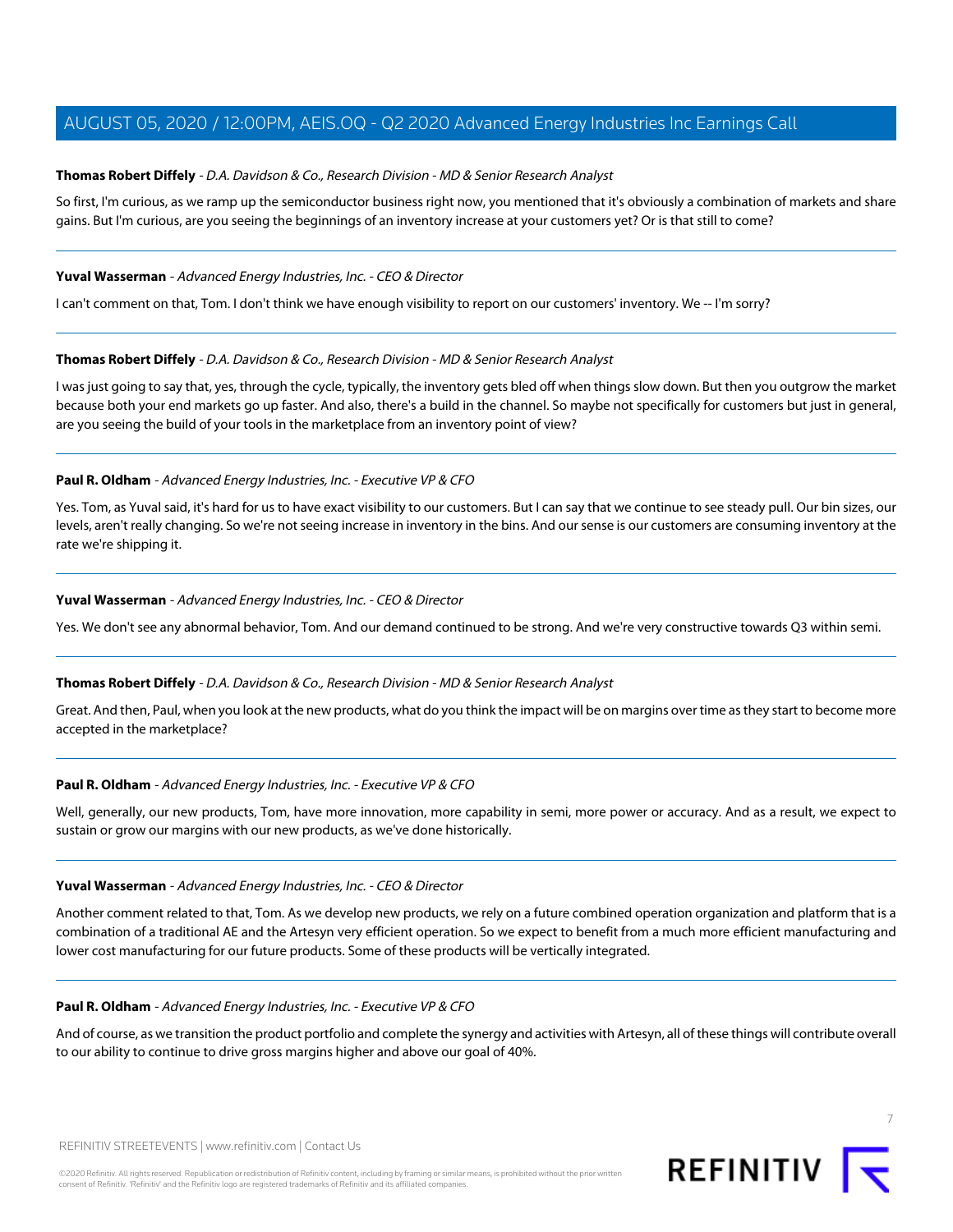# <span id="page-6-0"></span>**Thomas Robert Diffely** - D.A. Davidson & Co., Research Division - MD & Senior Research Analyst

So first, I'm curious, as we ramp up the semiconductor business right now, you mentioned that it's obviously a combination of markets and share gains. But I'm curious, are you seeing the beginnings of an inventory increase at your customers yet? Or is that still to come?

#### **Yuval Wasserman** - Advanced Energy Industries, Inc. - CEO & Director

I can't comment on that, Tom. I don't think we have enough visibility to report on our customers' inventory. We -- I'm sorry?

## **Thomas Robert Diffely** - D.A. Davidson & Co., Research Division - MD & Senior Research Analyst

I was just going to say that, yes, through the cycle, typically, the inventory gets bled off when things slow down. But then you outgrow the market because both your end markets go up faster. And also, there's a build in the channel. So maybe not specifically for customers but just in general, are you seeing the build of your tools in the marketplace from an inventory point of view?

# **Paul R. Oldham** - Advanced Energy Industries, Inc. - Executive VP & CFO

Yes. Tom, as Yuval said, it's hard for us to have exact visibility to our customers. But I can say that we continue to see steady pull. Our bin sizes, our levels, aren't really changing. So we're not seeing increase in inventory in the bins. And our sense is our customers are consuming inventory at the rate we're shipping it.

## **Yuval Wasserman** - Advanced Energy Industries, Inc. - CEO & Director

Yes. We don't see any abnormal behavior, Tom. And our demand continued to be strong. And we're very constructive towards Q3 within semi.

#### **Thomas Robert Diffely** - D.A. Davidson & Co., Research Division - MD & Senior Research Analyst

Great. And then, Paul, when you look at the new products, what do you think the impact will be on margins over time as they start to become more accepted in the marketplace?

#### **Paul R. Oldham** - Advanced Energy Industries, Inc. - Executive VP & CFO

Well, generally, our new products, Tom, have more innovation, more capability in semi, more power or accuracy. And as a result, we expect to sustain or grow our margins with our new products, as we've done historically.

#### **Yuval Wasserman** - Advanced Energy Industries, Inc. - CEO & Director

Another comment related to that, Tom. As we develop new products, we rely on a future combined operation organization and platform that is a combination of a traditional AE and the Artesyn very efficient operation. So we expect to benefit from a much more efficient manufacturing and lower cost manufacturing for our future products. Some of these products will be vertically integrated.

#### **Paul R. Oldham** - Advanced Energy Industries, Inc. - Executive VP & CFO

And of course, as we transition the product portfolio and complete the synergy and activities with Artesyn, all of these things will contribute overall to our ability to continue to drive gross margins higher and above our goal of 40%.



7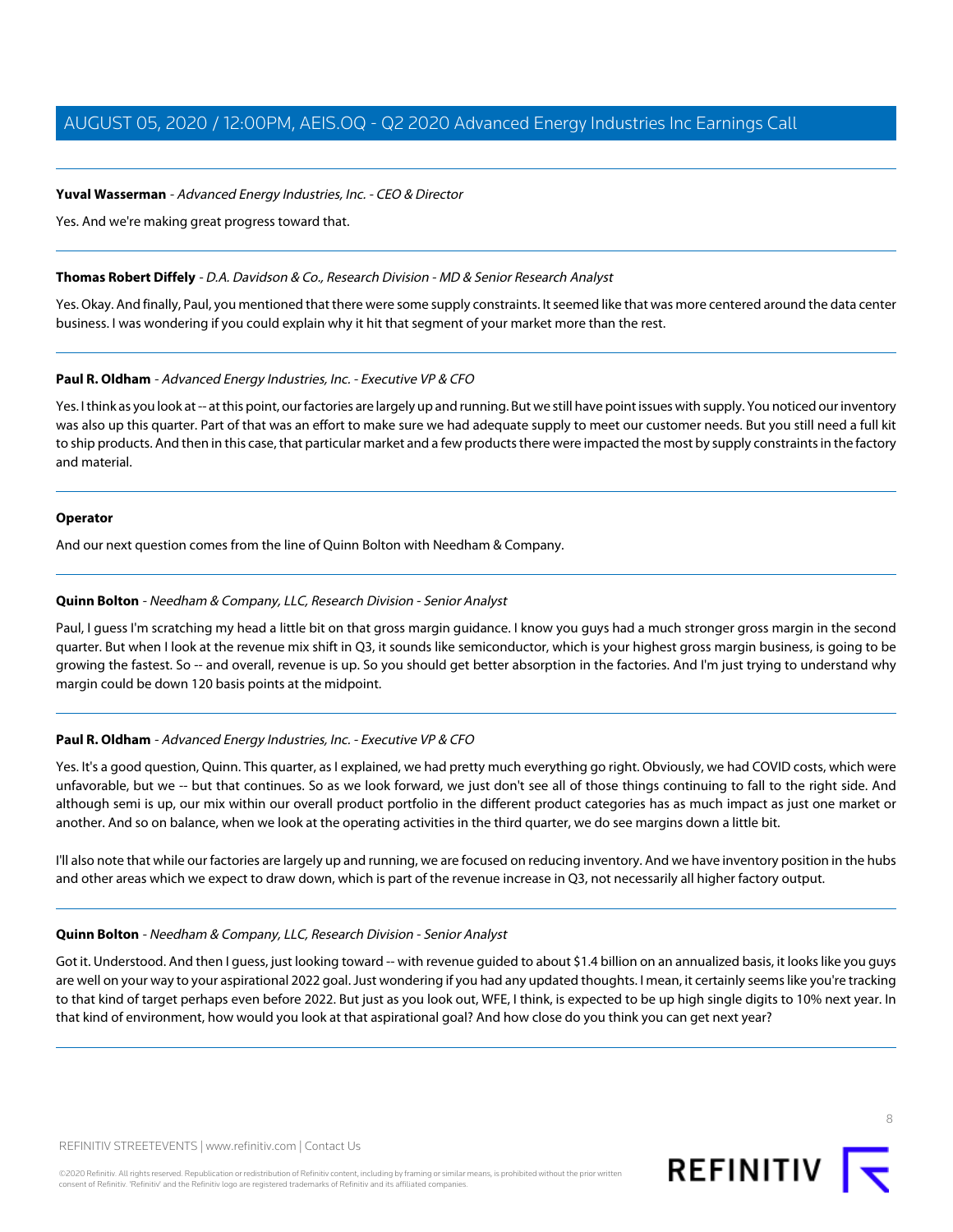# **Yuval Wasserman** - Advanced Energy Industries, Inc. - CEO & Director

Yes. And we're making great progress toward that.

#### **Thomas Robert Diffely** - D.A. Davidson & Co., Research Division - MD & Senior Research Analyst

Yes. Okay. And finally, Paul, you mentioned that there were some supply constraints. It seemed like that was more centered around the data center business. I was wondering if you could explain why it hit that segment of your market more than the rest.

## **Paul R. Oldham** - Advanced Energy Industries, Inc. - Executive VP & CFO

Yes. I think as you look at -- at this point, our factories are largely up and running. But we still have point issues with supply. You noticed our inventory was also up this quarter. Part of that was an effort to make sure we had adequate supply to meet our customer needs. But you still need a full kit to ship products. And then in this case, that particular market and a few products there were impacted the most by supply constraints in the factory and material.

#### **Operator**

<span id="page-7-0"></span>And our next question comes from the line of Quinn Bolton with Needham & Company.

## **Quinn Bolton** - Needham & Company, LLC, Research Division - Senior Analyst

Paul, I guess I'm scratching my head a little bit on that gross margin guidance. I know you guys had a much stronger gross margin in the second quarter. But when I look at the revenue mix shift in Q3, it sounds like semiconductor, which is your highest gross margin business, is going to be growing the fastest. So -- and overall, revenue is up. So you should get better absorption in the factories. And I'm just trying to understand why margin could be down 120 basis points at the midpoint.

#### **Paul R. Oldham** - Advanced Energy Industries, Inc. - Executive VP & CFO

Yes. It's a good question, Quinn. This quarter, as I explained, we had pretty much everything go right. Obviously, we had COVID costs, which were unfavorable, but we -- but that continues. So as we look forward, we just don't see all of those things continuing to fall to the right side. And although semi is up, our mix within our overall product portfolio in the different product categories has as much impact as just one market or another. And so on balance, when we look at the operating activities in the third quarter, we do see margins down a little bit.

I'll also note that while our factories are largely up and running, we are focused on reducing inventory. And we have inventory position in the hubs and other areas which we expect to draw down, which is part of the revenue increase in Q3, not necessarily all higher factory output.

#### **Quinn Bolton** - Needham & Company, LLC, Research Division - Senior Analyst

Got it. Understood. And then I guess, just looking toward -- with revenue guided to about \$1.4 billion on an annualized basis, it looks like you guys are well on your way to your aspirational 2022 goal. Just wondering if you had any updated thoughts. I mean, it certainly seems like you're tracking to that kind of target perhaps even before 2022. But just as you look out, WFE, I think, is expected to be up high single digits to 10% next year. In that kind of environment, how would you look at that aspirational goal? And how close do you think you can get next year?

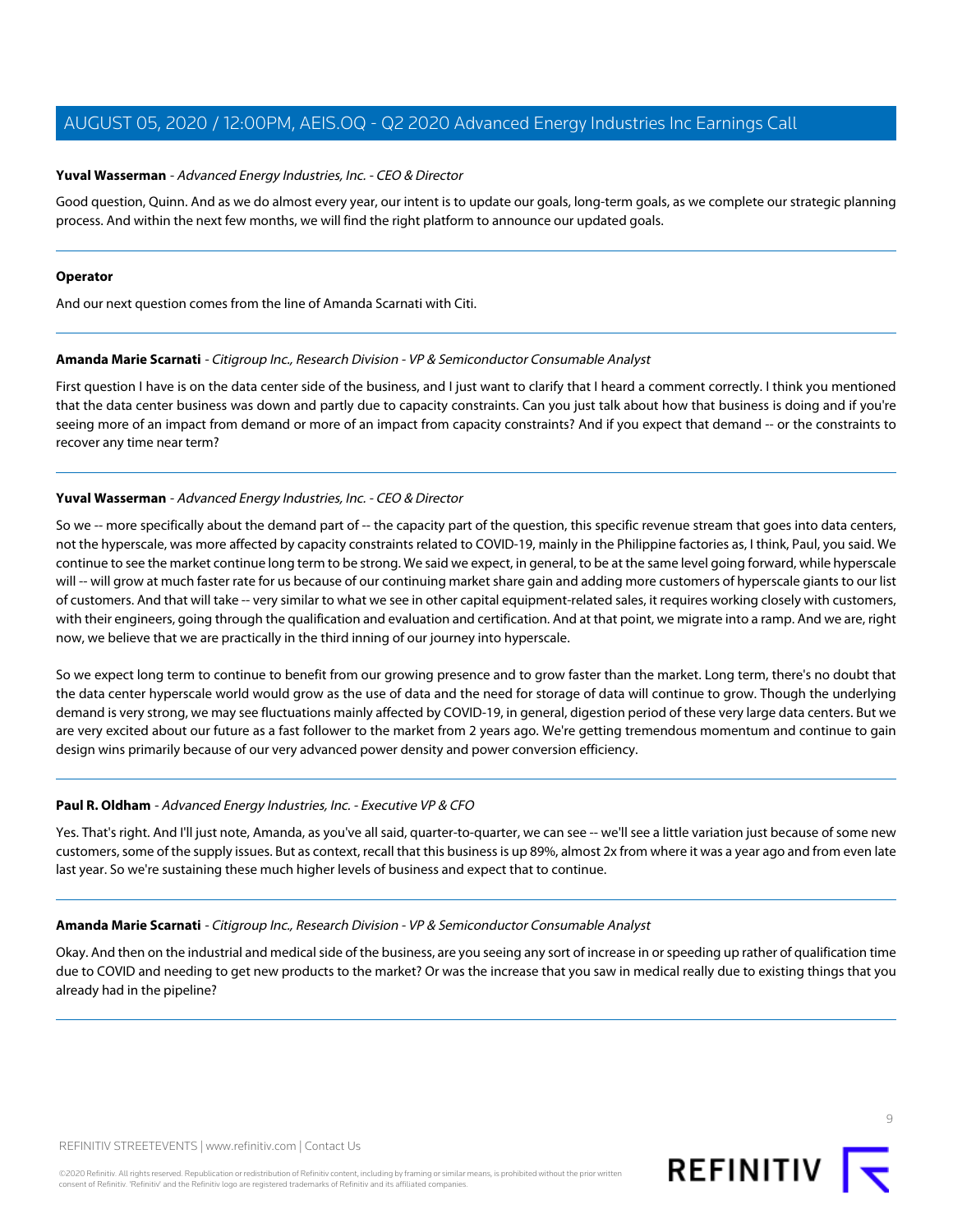## **Yuval Wasserman** - Advanced Energy Industries, Inc. - CEO & Director

Good question, Quinn. And as we do almost every year, our intent is to update our goals, long-term goals, as we complete our strategic planning process. And within the next few months, we will find the right platform to announce our updated goals.

#### **Operator**

<span id="page-8-0"></span>And our next question comes from the line of Amanda Scarnati with Citi.

## **Amanda Marie Scarnati** - Citigroup Inc., Research Division - VP & Semiconductor Consumable Analyst

First question I have is on the data center side of the business, and I just want to clarify that I heard a comment correctly. I think you mentioned that the data center business was down and partly due to capacity constraints. Can you just talk about how that business is doing and if you're seeing more of an impact from demand or more of an impact from capacity constraints? And if you expect that demand -- or the constraints to recover any time near term?

## **Yuval Wasserman** - Advanced Energy Industries, Inc. - CEO & Director

So we -- more specifically about the demand part of -- the capacity part of the question, this specific revenue stream that goes into data centers, not the hyperscale, was more affected by capacity constraints related to COVID-19, mainly in the Philippine factories as, I think, Paul, you said. We continue to see the market continue long term to be strong. We said we expect, in general, to be at the same level going forward, while hyperscale will -- will grow at much faster rate for us because of our continuing market share gain and adding more customers of hyperscale giants to our list of customers. And that will take -- very similar to what we see in other capital equipment-related sales, it requires working closely with customers, with their engineers, going through the qualification and evaluation and certification. And at that point, we migrate into a ramp. And we are, right now, we believe that we are practically in the third inning of our journey into hyperscale.

So we expect long term to continue to benefit from our growing presence and to grow faster than the market. Long term, there's no doubt that the data center hyperscale world would grow as the use of data and the need for storage of data will continue to grow. Though the underlying demand is very strong, we may see fluctuations mainly affected by COVID-19, in general, digestion period of these very large data centers. But we are very excited about our future as a fast follower to the market from 2 years ago. We're getting tremendous momentum and continue to gain design wins primarily because of our very advanced power density and power conversion efficiency.

# **Paul R. Oldham** - Advanced Energy Industries, Inc. - Executive VP & CFO

Yes. That's right. And I'll just note, Amanda, as you've all said, quarter-to-quarter, we can see -- we'll see a little variation just because of some new customers, some of the supply issues. But as context, recall that this business is up 89%, almost 2x from where it was a year ago and from even late last year. So we're sustaining these much higher levels of business and expect that to continue.

#### **Amanda Marie Scarnati** - Citigroup Inc., Research Division - VP & Semiconductor Consumable Analyst

Okay. And then on the industrial and medical side of the business, are you seeing any sort of increase in or speeding up rather of qualification time due to COVID and needing to get new products to the market? Or was the increase that you saw in medical really due to existing things that you already had in the pipeline?



 $\circ$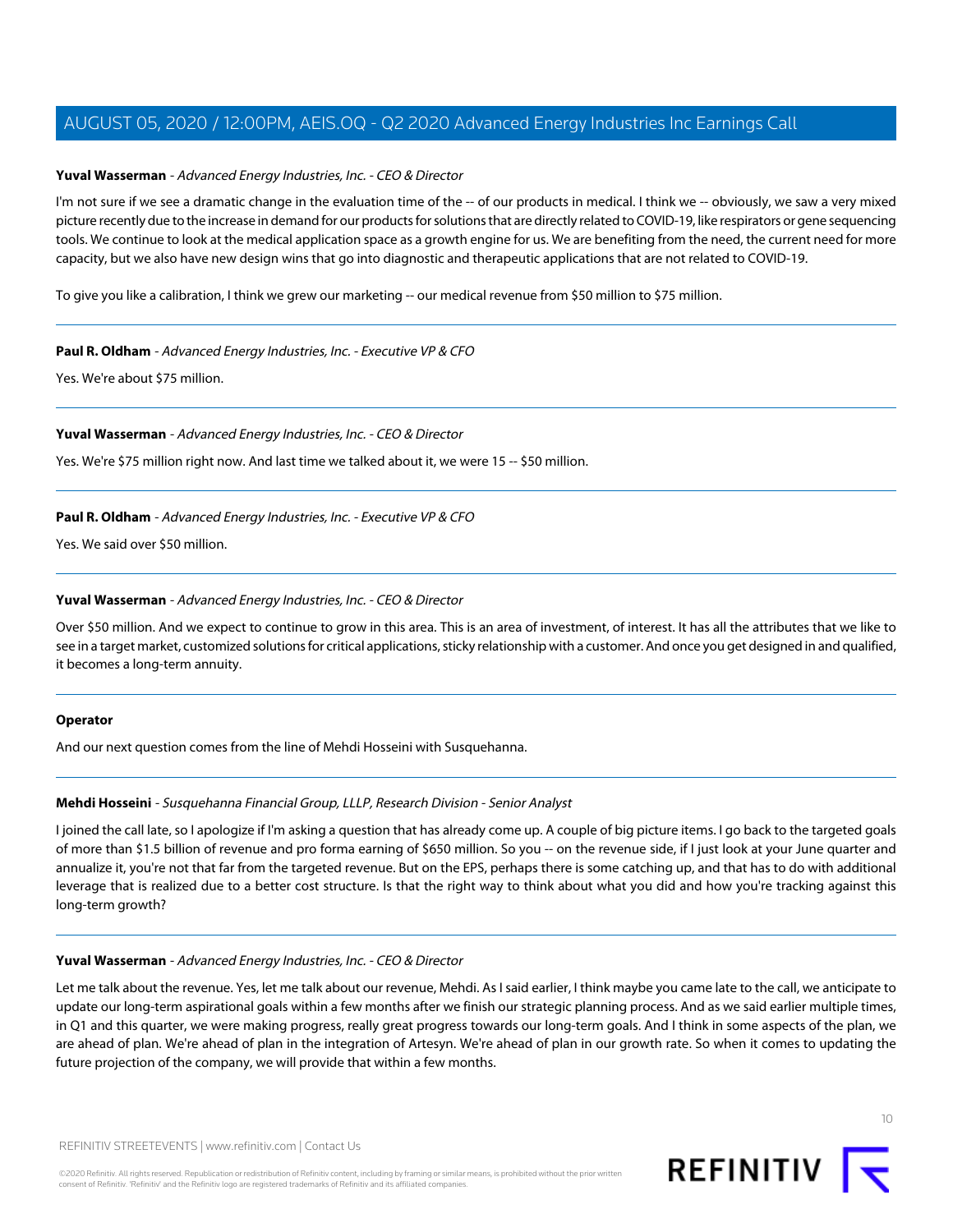## **Yuval Wasserman** - Advanced Energy Industries, Inc. - CEO & Director

I'm not sure if we see a dramatic change in the evaluation time of the -- of our products in medical. I think we -- obviously, we saw a very mixed picture recently due to the increase in demand for our products for solutions that are directly related to COVID-19, like respirators or gene sequencing tools. We continue to look at the medical application space as a growth engine for us. We are benefiting from the need, the current need for more capacity, but we also have new design wins that go into diagnostic and therapeutic applications that are not related to COVID-19.

To give you like a calibration, I think we grew our marketing -- our medical revenue from \$50 million to \$75 million.

## **Paul R. Oldham** - Advanced Energy Industries, Inc. - Executive VP & CFO

Yes. We're about \$75 million.

## **Yuval Wasserman** - Advanced Energy Industries, Inc. - CEO & Director

Yes. We're \$75 million right now. And last time we talked about it, we were 15 -- \$50 million.

## **Paul R. Oldham** - Advanced Energy Industries, Inc. - Executive VP & CFO

Yes. We said over \$50 million.

## **Yuval Wasserman** - Advanced Energy Industries, Inc. - CEO & Director

Over \$50 million. And we expect to continue to grow in this area. This is an area of investment, of interest. It has all the attributes that we like to see in a target market, customized solutions for critical applications, sticky relationship with a customer. And once you get designed in and qualified, it becomes a long-term annuity.

#### <span id="page-9-0"></span>**Operator**

And our next question comes from the line of Mehdi Hosseini with Susquehanna.

#### **Mehdi Hosseini** - Susquehanna Financial Group, LLLP, Research Division - Senior Analyst

I joined the call late, so I apologize if I'm asking a question that has already come up. A couple of big picture items. I go back to the targeted goals of more than \$1.5 billion of revenue and pro forma earning of \$650 million. So you -- on the revenue side, if I just look at your June quarter and annualize it, you're not that far from the targeted revenue. But on the EPS, perhaps there is some catching up, and that has to do with additional leverage that is realized due to a better cost structure. Is that the right way to think about what you did and how you're tracking against this long-term growth?

#### **Yuval Wasserman** - Advanced Energy Industries, Inc. - CEO & Director

Let me talk about the revenue. Yes, let me talk about our revenue, Mehdi. As I said earlier, I think maybe you came late to the call, we anticipate to update our long-term aspirational goals within a few months after we finish our strategic planning process. And as we said earlier multiple times, in Q1 and this quarter, we were making progress, really great progress towards our long-term goals. And I think in some aspects of the plan, we are ahead of plan. We're ahead of plan in the integration of Artesyn. We're ahead of plan in our growth rate. So when it comes to updating the future projection of the company, we will provide that within a few months.

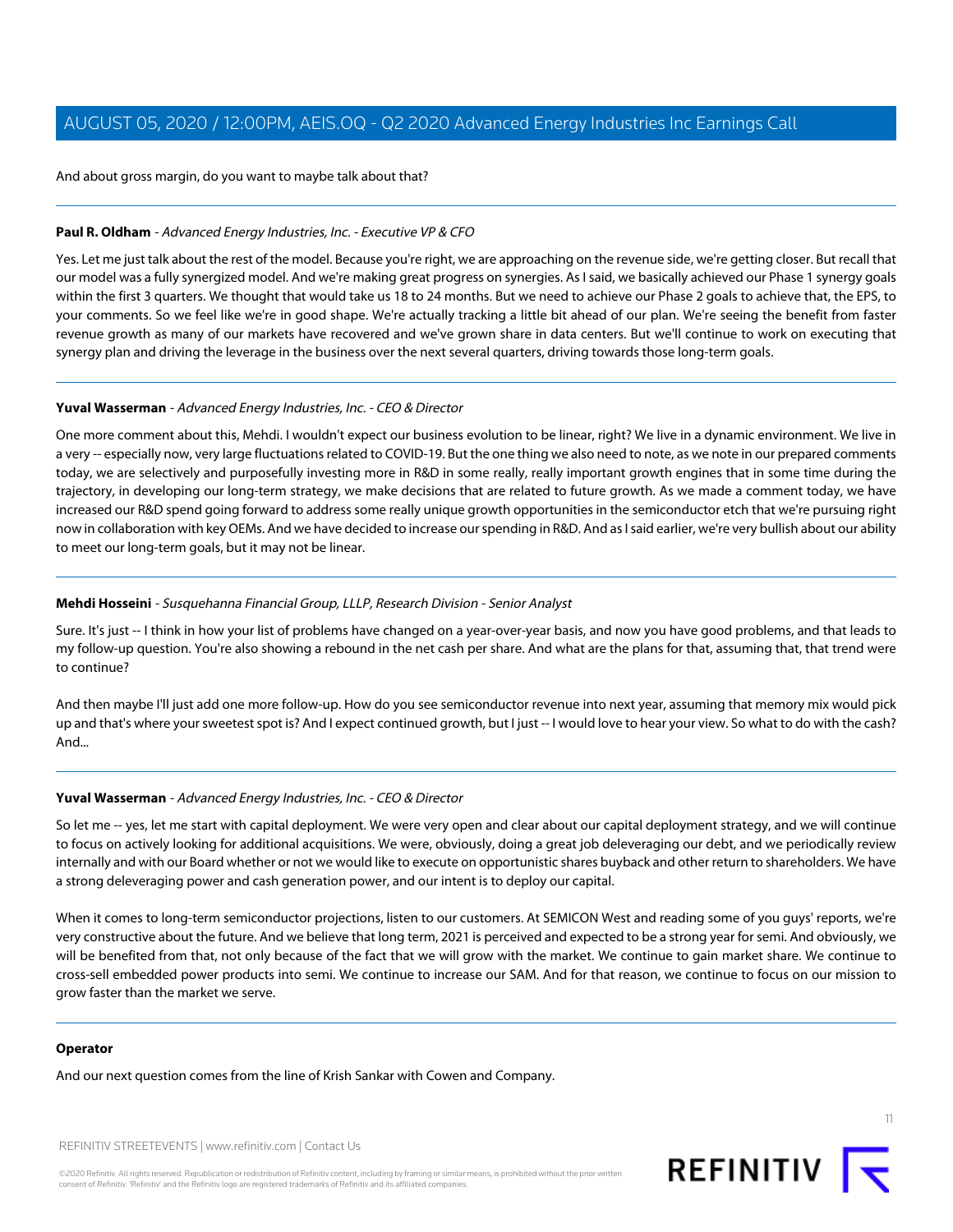And about gross margin, do you want to maybe talk about that?

# **Paul R. Oldham** - Advanced Energy Industries, Inc. - Executive VP & CFO

Yes. Let me just talk about the rest of the model. Because you're right, we are approaching on the revenue side, we're getting closer. But recall that our model was a fully synergized model. And we're making great progress on synergies. As I said, we basically achieved our Phase 1 synergy goals within the first 3 quarters. We thought that would take us 18 to 24 months. But we need to achieve our Phase 2 goals to achieve that, the EPS, to your comments. So we feel like we're in good shape. We're actually tracking a little bit ahead of our plan. We're seeing the benefit from faster revenue growth as many of our markets have recovered and we've grown share in data centers. But we'll continue to work on executing that synergy plan and driving the leverage in the business over the next several quarters, driving towards those long-term goals.

## **Yuval Wasserman** - Advanced Energy Industries, Inc. - CEO & Director

One more comment about this, Mehdi. I wouldn't expect our business evolution to be linear, right? We live in a dynamic environment. We live in a very -- especially now, very large fluctuations related to COVID-19. But the one thing we also need to note, as we note in our prepared comments today, we are selectively and purposefully investing more in R&D in some really, really important growth engines that in some time during the trajectory, in developing our long-term strategy, we make decisions that are related to future growth. As we made a comment today, we have increased our R&D spend going forward to address some really unique growth opportunities in the semiconductor etch that we're pursuing right now in collaboration with key OEMs. And we have decided to increase our spending in R&D. And as I said earlier, we're very bullish about our ability to meet our long-term goals, but it may not be linear.

## **Mehdi Hosseini** - Susquehanna Financial Group, LLLP, Research Division - Senior Analyst

Sure. It's just -- I think in how your list of problems have changed on a year-over-year basis, and now you have good problems, and that leads to my follow-up question. You're also showing a rebound in the net cash per share. And what are the plans for that, assuming that, that trend were to continue?

And then maybe I'll just add one more follow-up. How do you see semiconductor revenue into next year, assuming that memory mix would pick up and that's where your sweetest spot is? And I expect continued growth, but I just -- I would love to hear your view. So what to do with the cash? And...

# **Yuval Wasserman** - Advanced Energy Industries, Inc. - CEO & Director

So let me -- yes, let me start with capital deployment. We were very open and clear about our capital deployment strategy, and we will continue to focus on actively looking for additional acquisitions. We were, obviously, doing a great job deleveraging our debt, and we periodically review internally and with our Board whether or not we would like to execute on opportunistic shares buyback and other return to shareholders. We have a strong deleveraging power and cash generation power, and our intent is to deploy our capital.

When it comes to long-term semiconductor projections, listen to our customers. At SEMICON West and reading some of you guys' reports, we're very constructive about the future. And we believe that long term, 2021 is perceived and expected to be a strong year for semi. And obviously, we will be benefited from that, not only because of the fact that we will grow with the market. We continue to gain market share. We continue to cross-sell embedded power products into semi. We continue to increase our SAM. And for that reason, we continue to focus on our mission to grow faster than the market we serve.

#### **Operator**

And our next question comes from the line of Krish Sankar with Cowen and Company.

REFINITIV STREETEVENTS | [www.refinitiv.com](https://www.refinitiv.com/) | [Contact Us](https://www.refinitiv.com/en/contact-us)

©2020 Refinitiv. All rights reserved. Republication or redistribution of Refinitiv content, including by framing or similar means, is prohibited without the prior written consent of Refinitiv. 'Refinitiv' and the Refinitiv logo are registered trademarks of Refinitiv and its affiliated companies.

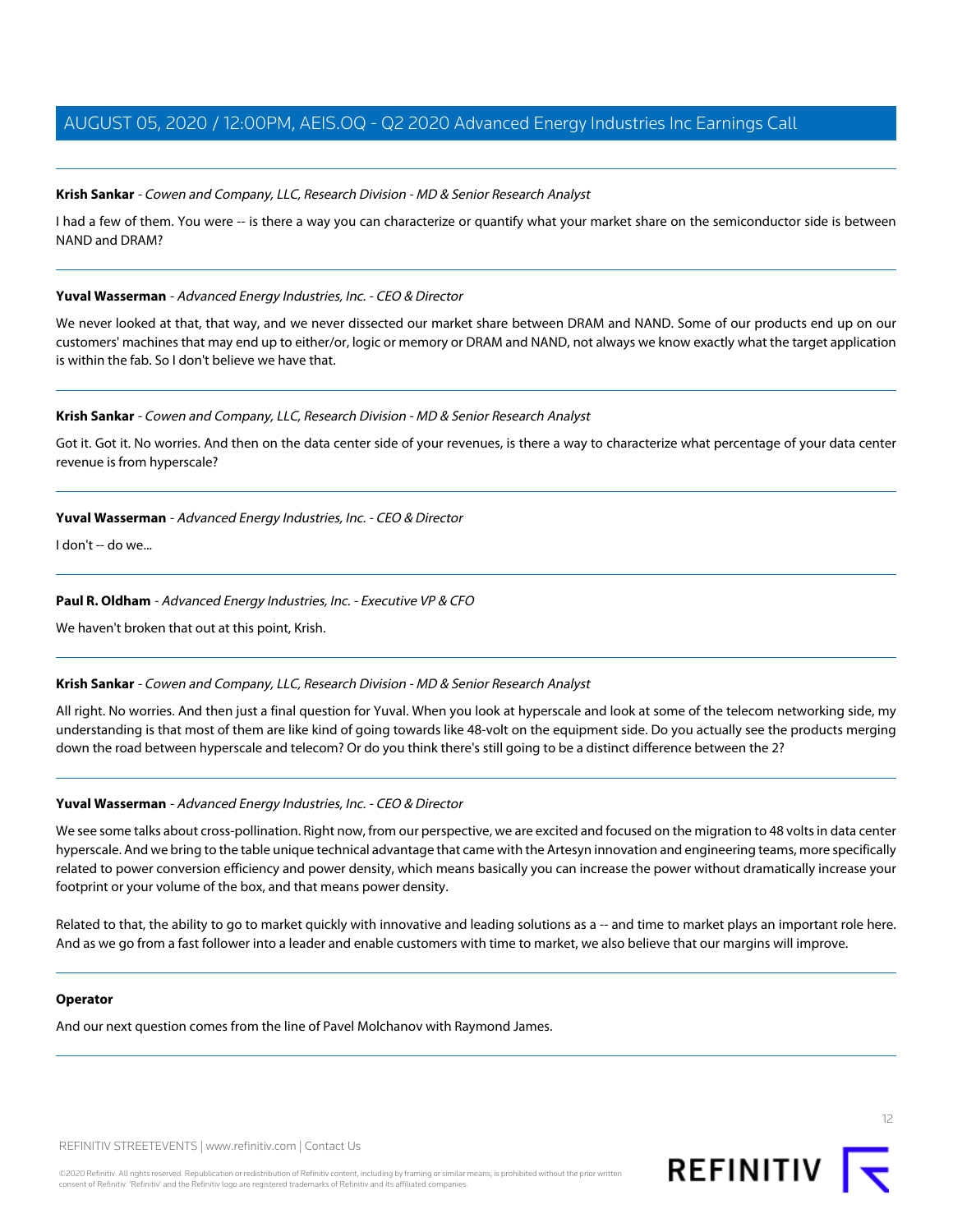## <span id="page-11-0"></span>**Krish Sankar** - Cowen and Company, LLC, Research Division - MD & Senior Research Analyst

I had a few of them. You were -- is there a way you can characterize or quantify what your market share on the semiconductor side is between NAND and DRAM?

#### **Yuval Wasserman** - Advanced Energy Industries, Inc. - CEO & Director

We never looked at that, that way, and we never dissected our market share between DRAM and NAND. Some of our products end up on our customers' machines that may end up to either/or, logic or memory or DRAM and NAND, not always we know exactly what the target application is within the fab. So I don't believe we have that.

#### **Krish Sankar** - Cowen and Company, LLC, Research Division - MD & Senior Research Analyst

Got it. Got it. No worries. And then on the data center side of your revenues, is there a way to characterize what percentage of your data center revenue is from hyperscale?

## **Yuval Wasserman** - Advanced Energy Industries, Inc. - CEO & Director

I don't -- do we...

## **Paul R. Oldham** - Advanced Energy Industries, Inc. - Executive VP & CFO

We haven't broken that out at this point, Krish.

#### **Krish Sankar** - Cowen and Company, LLC, Research Division - MD & Senior Research Analyst

All right. No worries. And then just a final question for Yuval. When you look at hyperscale and look at some of the telecom networking side, my understanding is that most of them are like kind of going towards like 48-volt on the equipment side. Do you actually see the products merging down the road between hyperscale and telecom? Or do you think there's still going to be a distinct difference between the 2?

# **Yuval Wasserman** - Advanced Energy Industries, Inc. - CEO & Director

We see some talks about cross-pollination. Right now, from our perspective, we are excited and focused on the migration to 48 volts in data center hyperscale. And we bring to the table unique technical advantage that came with the Artesyn innovation and engineering teams, more specifically related to power conversion efficiency and power density, which means basically you can increase the power without dramatically increase your footprint or your volume of the box, and that means power density.

Related to that, the ability to go to market quickly with innovative and leading solutions as a -- and time to market plays an important role here. And as we go from a fast follower into a leader and enable customers with time to market, we also believe that our margins will improve.

#### **Operator**

And our next question comes from the line of Pavel Molchanov with Raymond James.

REFINITIV STREETEVENTS | [www.refinitiv.com](https://www.refinitiv.com/) | [Contact Us](https://www.refinitiv.com/en/contact-us)

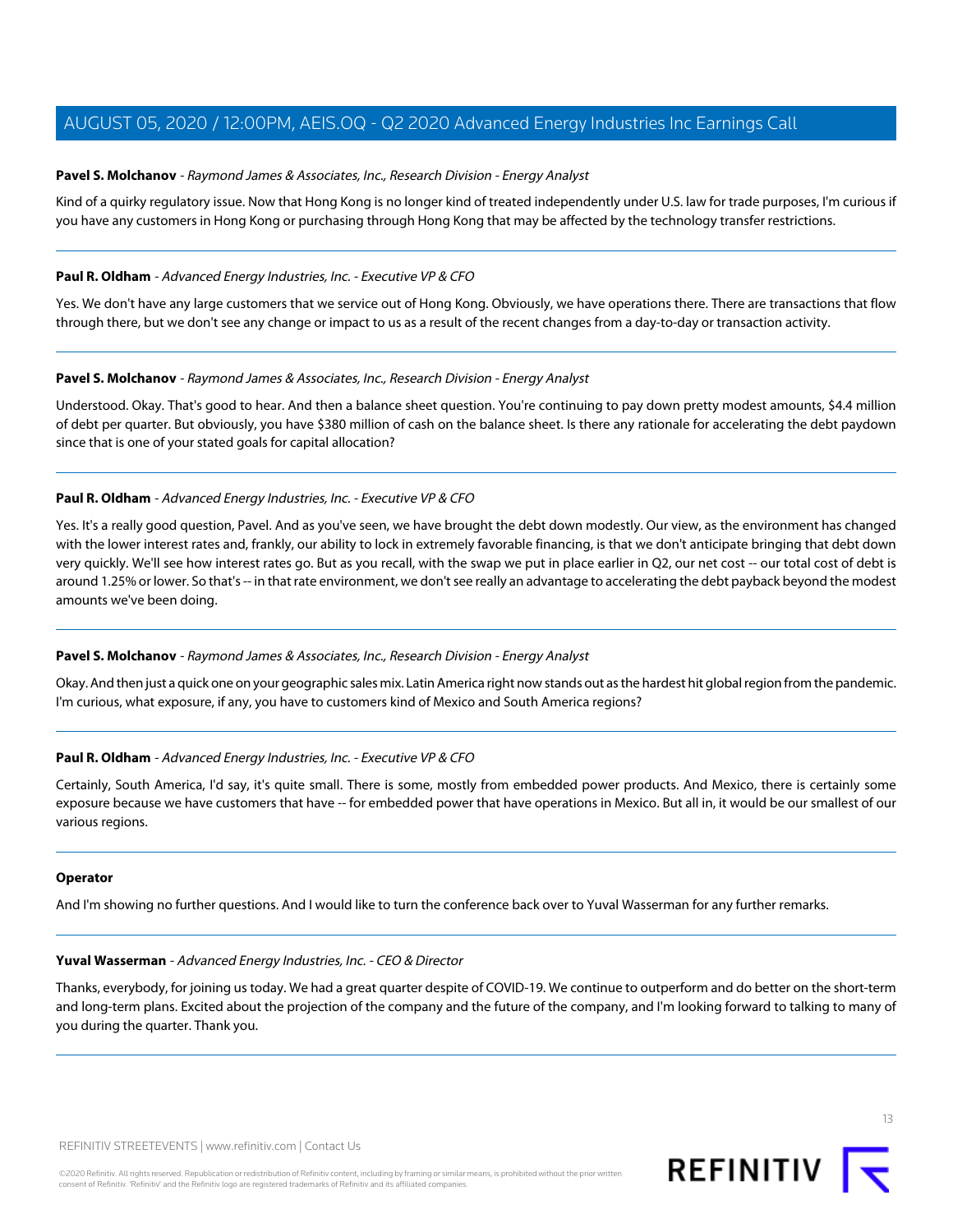# <span id="page-12-0"></span>**Pavel S. Molchanov** - Raymond James & Associates, Inc., Research Division - Energy Analyst

Kind of a quirky regulatory issue. Now that Hong Kong is no longer kind of treated independently under U.S. law for trade purposes, I'm curious if you have any customers in Hong Kong or purchasing through Hong Kong that may be affected by the technology transfer restrictions.

## **Paul R. Oldham** - Advanced Energy Industries, Inc. - Executive VP & CFO

Yes. We don't have any large customers that we service out of Hong Kong. Obviously, we have operations there. There are transactions that flow through there, but we don't see any change or impact to us as a result of the recent changes from a day-to-day or transaction activity.

#### **Pavel S. Molchanov** - Raymond James & Associates, Inc., Research Division - Energy Analyst

Understood. Okay. That's good to hear. And then a balance sheet question. You're continuing to pay down pretty modest amounts, \$4.4 million of debt per quarter. But obviously, you have \$380 million of cash on the balance sheet. Is there any rationale for accelerating the debt paydown since that is one of your stated goals for capital allocation?

## **Paul R. Oldham** - Advanced Energy Industries, Inc. - Executive VP & CFO

Yes. It's a really good question, Pavel. And as you've seen, we have brought the debt down modestly. Our view, as the environment has changed with the lower interest rates and, frankly, our ability to lock in extremely favorable financing, is that we don't anticipate bringing that debt down very quickly. We'll see how interest rates go. But as you recall, with the swap we put in place earlier in Q2, our net cost -- our total cost of debt is around 1.25% or lower. So that's -- in that rate environment, we don't see really an advantage to accelerating the debt payback beyond the modest amounts we've been doing.

# **Pavel S. Molchanov** - Raymond James & Associates, Inc., Research Division - Energy Analyst

Okay. And then just a quick one on your geographic sales mix. Latin America right now stands out as the hardest hit global region from the pandemic. I'm curious, what exposure, if any, you have to customers kind of Mexico and South America regions?

# **Paul R. Oldham** - Advanced Energy Industries, Inc. - Executive VP & CFO

Certainly, South America, I'd say, it's quite small. There is some, mostly from embedded power products. And Mexico, there is certainly some exposure because we have customers that have -- for embedded power that have operations in Mexico. But all in, it would be our smallest of our various regions.

#### **Operator**

And I'm showing no further questions. And I would like to turn the conference back over to Yuval Wasserman for any further remarks.

#### **Yuval Wasserman** - Advanced Energy Industries, Inc. - CEO & Director

Thanks, everybody, for joining us today. We had a great quarter despite of COVID-19. We continue to outperform and do better on the short-term and long-term plans. Excited about the projection of the company and the future of the company, and I'm looking forward to talking to many of you during the quarter. Thank you.